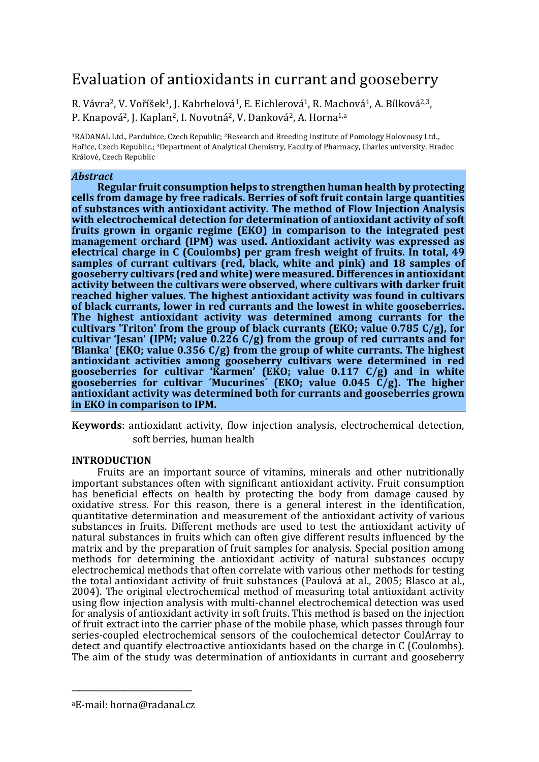# Evaluation of antioxidants in currant and gooseberry

R. Vávra<sup>2</sup>, V. Voříšek<sup>1</sup>, J. Kabrhelová<sup>1</sup>, E. Eichlerová<sup>1</sup>, R. Machová<sup>1</sup>, A. Bílková<sup>2,3</sup>, P. Knapová2, J. Kaplan2, I. Novotná2, V. Danková2, A. Horna1,a

1RADANAL Ltd., Pardubice, Czech Republic; 2Research and Breeding Institute of Pomology Holovousy Ltd., Hořice, Czech Republic.; 3Department of Analytical Chemistry, Faculty of Pharmacy, Charles university, Hradec Králové, Czech Republic

# *Abstract*

**Regular fruit consumption helps to strengthen human health by protecting cells from damage by free radicals. Berries of soft fruit contain large quantities of substances with antioxidant activity. The method of Flow Injection Analysis with electrochemical detection for determination of antioxidant activity of soft fruits grown in organic regime (EKO) in comparison to the integrated pest management orchard (IPM) was used. Antioxidant activity was expressed as electrical charge in C (Coulombs) per gram fresh weight of fruits. In total, 49 samples of currant cultivars (red, black, white and pink) and 18 samples of gooseberry cultivars (red and white) were measured. Differences in antioxidant activity between the cultivars were observed, where cultivars with darker fruit reached higher values. The highest antioxidant activity was found in cultivars of black currants, lower in red currants and the lowest in white gooseberries. The highest antioxidant activity was determined among currants for the cultivars 'Triton' from the group of black currants (EKO; value 0.785 C/g), for cultivar 'Jesan' (IPM; value 0.226 C/g) from the group of red currants and for 'Blanka' (EKO; value 0.356 C/g) from the group of white currants. The highest antioxidant activities among gooseberry cultivars were determined in red gooseberries for cultivar 'Karmen' (EKO; value 0.117 C/g) and in white gooseberries for cultivar ´Mucurines´ (EKO; value 0.045 C/g). The higher antioxidant activity was determined both for currants and gooseberries grown in EKO in comparison to IPM.**

**Keywords**: antioxidant activity, flow injection analysis, electrochemical detection, soft berries, human health

# **INTRODUCTION**

Fruits are an important source of vitamins, minerals and other nutritionally important substances often with significant antioxidant activity. Fruit consumption has beneficial effects on health by protecting the body from damage caused by oxidative stress. For this reason, there is a general interest in the identification, quantitative determination and measurement of the antioxidant activity of various substances in fruits. Different methods are used to test the antioxidant activity of natural substances in fruits which can often give different results influenced by the matrix and by the preparation of fruit samples for analysis. Special position among methods for determining the antioxidant activity of natural substances occupy electrochemical methods that often correlate with various other methods for testing the total antioxidant activity of fruit substances (Paulová at al., 2005; Blasco at al., 2004). The original electrochemical method of measuring total antioxidant activity using flow injection analysis with multi-channel electrochemical detection was used for analysis of antioxidant activity in soft fruits. This method is based on the injection of fruit extract into the carrier phase of the mobile phase, which passes through four series-coupled electrochemical sensors of the coulochemical detector CoulArray to detect and quantify electroactive antioxidants based on the charge in C (Coulombs). The aim of the study was determination of antioxidants in currant and gooseberry

\_\_\_\_\_\_\_\_\_\_\_\_\_\_\_\_\_\_\_\_\_\_\_\_\_\_\_\_\_\_ aE-mail: horna@radanal.cz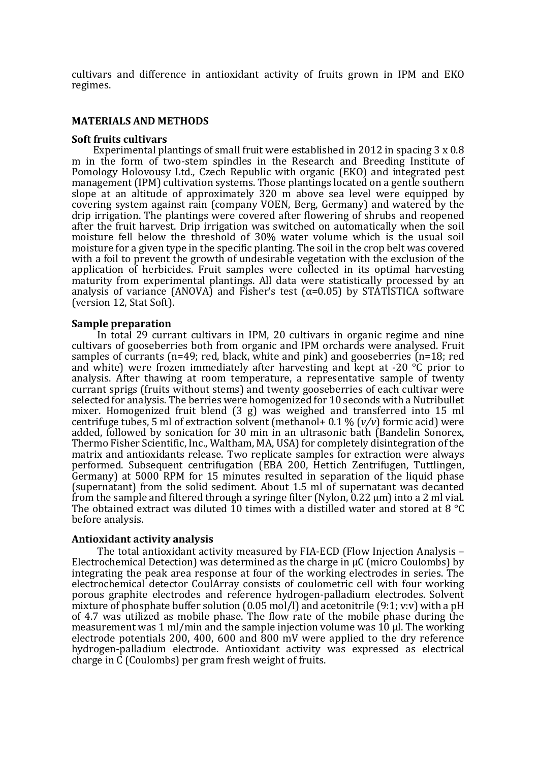cultivars and difference in antioxidant activity of fruits grown in IPM and EKO regimes.

## **MATERIALS AND METHODS**

## **Soft fruits cultivars**

 Experimental plantings of small fruit were established in 2012 in spacing 3 x 0.8 m in the form of two-stem spindles in the Research and Breeding Institute of Pomology Holovousy Ltd., Czech Republic with organic (EKO) and integrated pest management (IPM) cultivation systems. Those plantings located on a gentle southern slope at an altitude of approximately 320 m above sea level were equipped by covering system against rain (company VOEN, Berg, Germany) and watered by the drip irrigation. The plantings were covered after flowering of shrubs and reopened after the fruit harvest. Drip irrigation was switched on automatically when the soil moisture fell below the threshold of 30% water volume which is the usual soil moisture for a given type in the specific planting. The soil in the crop belt was covered with a foil to prevent the growth of undesirable vegetation with the exclusion of the application of herbicides. Fruit samples were collected in its optimal harvesting maturity from experimental plantings. All data were statistically processed by an analysis of variance (ANOVA) and Fisher's test ( $\alpha$ =0.05) by STATISTICA software (version 12, Stat Soft).

## **Sample preparation**

In total 29 currant cultivars in IPM, 20 cultivars in organic regime and nine cultivars of gooseberries both from organic and IPM orchards were analysed. Fruit samples of currants (n=49; red, black, white and pink) and gooseberries (n=18; red and white) were frozen immediately after harvesting and kept at -20 °C prior to analysis. After thawing at room temperature, a representative sample of twenty currant sprigs (fruits without stems) and twenty gooseberries of each cultivar were selected for analysis. The berries were homogenized for 10 seconds with a Nutribullet mixer. Homogenized fruit blend (3 g) was weighed and transferred into 15 ml centrifuge tubes, 5 ml of extraction solvent (methanol+ 0.1 % (*v/v*) formic acid) were added, followed by sonication for 30 min in an ultrasonic bath (Bandelin Sonorex, Thermo Fisher Scientific, Inc., Waltham, MA, USA) for completely disintegration of the matrix and antioxidants release. Two replicate samples for extraction were always performed. Subsequent centrifugation (EBA 200, Hettich Zentrifugen, Tuttlingen, Germany) at 5000 RPM for 15 minutes resulted in separation of the liquid phase (supernatant) from the solid sediment. About 1.5 ml of supernatant was decanted from the sample and filtered through a syringe filter (Nylon, 0.22 µm) into a 2 ml vial. The obtained extract was diluted 10 times with a distilled water and stored at 8 °C before analysis.

#### **Antioxidant activity analysis**

The total antioxidant activity measured by FIA-ECD (Flow Injection Analysis – Electrochemical Detection) was determined as the charge in µC (micro Coulombs) by integrating the peak area response at four of the working electrodes in series. The electrochemical detector CoulArray consists of coulometric cell with four working porous graphite electrodes and reference hydrogen-palladium electrodes. Solvent mixture of phosphate buffer solution (0.05 mol/l) and acetonitrile (9:1; v:v) with a pH of 4.7 was utilized as mobile phase. The flow rate of the mobile phase during the measurement was 1 ml/min and the sample injection volume was 10 µl. The working electrode potentials  $200$ ,  $400$ ,  $600$  and  $800$  mV were applied to the dry reference hydrogen-palladium electrode. Antioxidant activity was expressed as electrical charge in C (Coulombs) per gram fresh weight of fruits.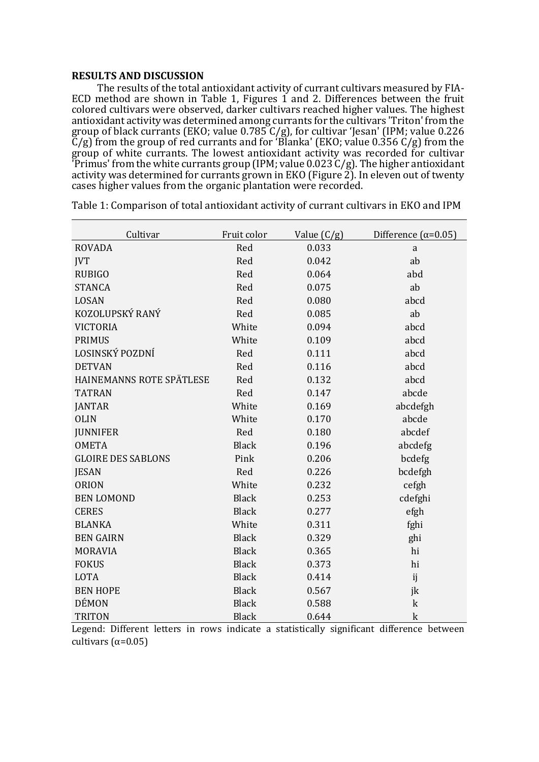## **RESULTS AND DISCUSSION**

The results of the total antioxidant activity of currant cultivars measured by FIA-ECD method are shown in Table 1, Figures 1 and 2. Differences between the fruit colored cultivars were observed, darker cultivars reached higher values. The highest antioxidant activity was determined among currants for the cultivars 'Triton' from the group of black currants (EKO; value 0.785 C/g), for cultivar 'Jesan' (IPM; value 0.226 C/g) from the group of red currants and for 'Blanka' (EKO; value 0.356 C/g) from the group of white currants. The lowest antioxidant activity was recorded for cultivar 'Primus' from the white currants group (IPM; value 0.023 C/g). The higher antioxidant activity was determined for currants grown in EKO (Figure 2). In eleven out of twenty cases higher values from the organic plantation were recorded.

| Cultivar                  | Fruit color  | Value $(C/g)$ | Difference ( $\alpha$ =0.05) |  |
|---------------------------|--------------|---------------|------------------------------|--|
| <b>ROVADA</b>             | Red          | 0.033         | $\rm{a}$                     |  |
| <b>JVT</b>                | Red          | 0.042         | ab                           |  |
| <b>RUBIGO</b>             | Red          | 0.064         | abd                          |  |
| <b>STANCA</b>             | Red          | 0.075         | ab                           |  |
| LOSAN                     | Red          | 0.080         | abcd                         |  |
| KOZOLUPSKÝ RANÝ           | Red          | 0.085         | ab                           |  |
| <b>VICTORIA</b>           | White        | 0.094         | abcd                         |  |
| <b>PRIMUS</b>             | White        | 0.109         | abcd                         |  |
| LOSINSKÝ POZDNÍ           | Red          | 0.111         | abcd                         |  |
| <b>DETVAN</b>             | Red          | 0.116         | abcd                         |  |
| HAINEMANNS ROTE SPÄTLESE  | Red          | 0.132         | abcd                         |  |
| <b>TATRAN</b>             | Red          | 0.147         | abcde                        |  |
| <b>JANTAR</b>             | White        | 0.169         | abcdefgh                     |  |
| <b>OLIN</b>               | White        | 0.170         | abcde                        |  |
| <b>JUNNIFER</b>           | Red          | 0.180         | abcdef                       |  |
| <b>OMETA</b>              | <b>Black</b> | 0.196         | abcdefg                      |  |
| <b>GLOIRE DES SABLONS</b> | Pink         | 0.206         | bcdefg                       |  |
| <b>JESAN</b>              | Red          | 0.226         | bcdefgh                      |  |
| <b>ORION</b>              | White        | 0.232         | cefgh                        |  |
| <b>BEN LOMOND</b>         | <b>Black</b> | 0.253         | cdefghi                      |  |
| <b>CERES</b>              | <b>Black</b> | 0.277         | efgh                         |  |
| <b>BLANKA</b>             | White        | 0.311         | fghi                         |  |
| <b>BEN GAIRN</b>          | <b>Black</b> | 0.329         | ghi                          |  |
| <b>MORAVIA</b>            | <b>Black</b> | 0.365         | hi                           |  |
| <b>FOKUS</b>              | <b>Black</b> | 0.373         | hi                           |  |
| <b>LOTA</b>               | <b>Black</b> | 0.414         | ij                           |  |
| <b>BEN HOPE</b>           | <b>Black</b> | 0.567         | jk                           |  |
| <b>DÉMON</b>              | <b>Black</b> | 0.588         | $\mathbf k$                  |  |
| <b>TRITON</b>             | <b>Black</b> | 0.644         | $\mathbf k$                  |  |

Table 1: Comparison of total antioxidant activity of currant cultivars in EKO and IPM

Legend: Different letters in rows indicate a statistically significant difference between cultivars  $(α=0.05)$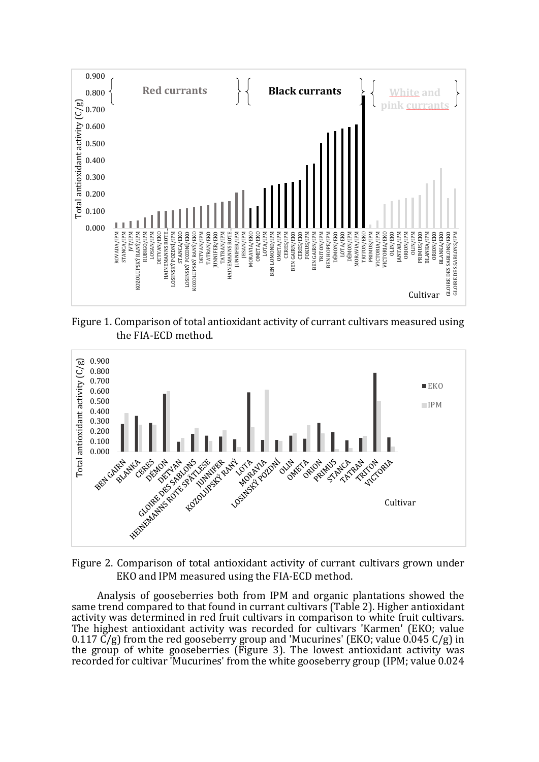

Figure 1. Comparison of total antioxidant activity of currant cultivars measured using the FIA-ECD method.



Figure 2. Comparison of total antioxidant activity of currant cultivars grown under EKO and IPM measured using the FIA-ECD method.

Analysis of gooseberries both from IPM and organic plantations showed the same trend compared to that found in currant cultivars (Table 2). Higher antioxidant activity was determined in red fruit cultivars in comparison to white fruit cultivars. The highest antioxidant activity was recorded for cultivars 'Karmen' (EKO; value 0.117  $\check{C}/g$ ) from the red gooseberry group and 'Mucurines' (EKO; value 0.045 C/g) in the group of white gooseberries (Figure 3). The lowest antioxidant activity was recorded for cultivar 'Mucurines' from the white gooseberry group (IPM; value 0.024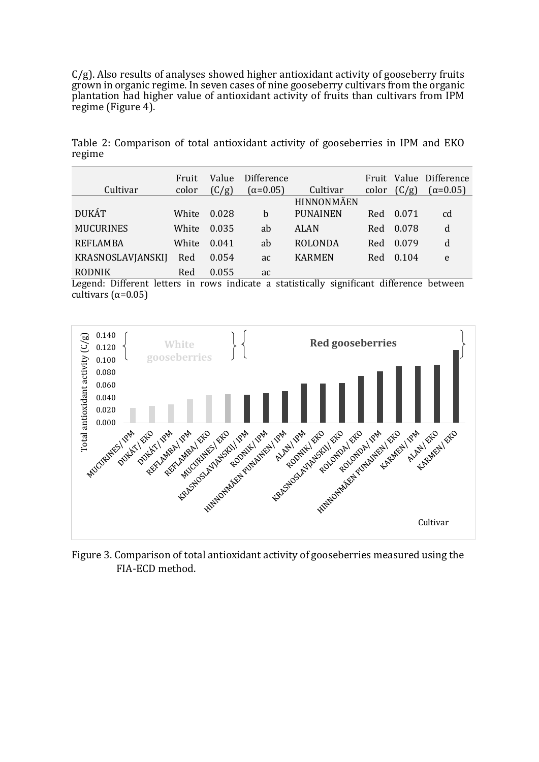C/g). Also results of analyses showed higher antioxidant activity of gooseberry fruits grown in organic regime. In seven cases of nine gooseberry cultivars from the organic plantation had higher value of antioxidant activity of fruits than cultivars from IPM regime (Figure 4).

Table 2: Comparison of total antioxidant activity of gooseberries in IPM and EKO regime

| Cultivar                 | Fruit<br>color | Value<br>(C/g) | Difference<br>$(\alpha=0.05)$ | Cultivar          | Fruit<br>color | (C/g) | Value Difference<br>$(\alpha=0.05)$ |
|--------------------------|----------------|----------------|-------------------------------|-------------------|----------------|-------|-------------------------------------|
|                          |                |                |                               | <b>HINNONMÄEN</b> |                |       |                                     |
| <b>DUKÁT</b>             | White          | 0.028          | b                             | <b>PUNAINEN</b>   | Red            | 0.071 | cd                                  |
| <b>MUCURINES</b>         | White          | 0.035          | ab                            | ALAN              | Red            | 0.078 | d                                   |
| <b>REFLAMBA</b>          | White          | 0.041          | ab                            | <b>ROLONDA</b>    | Red            | 0.079 | d                                   |
| <b>KRASNOSLAVJANSKIJ</b> | Red            | 0.054          | ac                            | <b>KARMEN</b>     | Red            | 0.104 | e                                   |
| <b>RODNIK</b>            | Red            | 0.055          | ac                            |                   |                |       |                                     |

Legend: Different letters in rows indicate a statistically significant difference between cultivars ( $α=0.05$ )



Figure 3. Comparison of total antioxidant activity of gooseberries measured using the FIA-ECD method.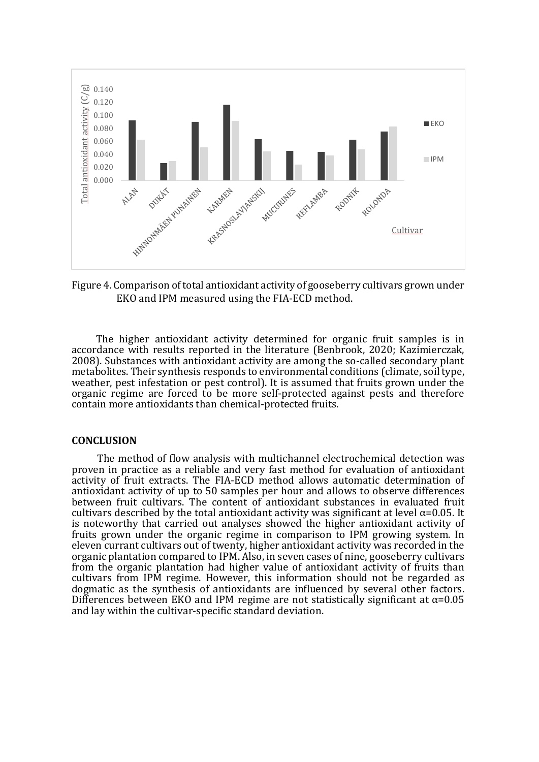

Figure 4. Comparison of total antioxidant activity of gooseberry cultivars grown under EKO and IPM measured using the FIA-ECD method.

The higher antioxidant activity determined for organic fruit samples is in accordance with results reported in the literature (Benbrook, 2020; Kazimierczak, 2008). Substances with antioxidant activity are among the so-called secondary plant metabolites. Their synthesis responds to environmental conditions (climate, soil type, weather, pest infestation or pest control). It is assumed that fruits grown under the organic regime are forced to be more self-protected against pests and therefore contain more antioxidants than chemical-protected fruits.

### **CONCLUSION**

The method of flow analysis with multichannel electrochemical detection was proven in practice as a reliable and very fast method for evaluation of antioxidant activity of fruit extracts. The FIA-ECD method allows automatic determination of antioxidant activity of up to 50 samples per hour and allows to observe differences between fruit cultivars. The content of antioxidant substances in evaluated fruit cultivars described by the total antioxidant activity was significant at level  $\alpha$ =0.05. It is noteworthy that carried out analyses showed the higher antioxidant activity of fruits grown under the organic regime in comparison to IPM growing system. In eleven currant cultivars out of twenty, higher antioxidant activity was recorded in the organic plantation compared to IPM. Also, in seven cases of nine, gooseberry cultivars from the organic plantation had higher value of antioxidant activity of fruits than cultivars from IPM regime. However, this information should not be regarded as dogmatic as the synthesis of antioxidants are influenced by several other factors. Differences between EKO and IPM regime are not statistically significant at  $\alpha$ =0.05 and lay within the cultivar-specific standard deviation.